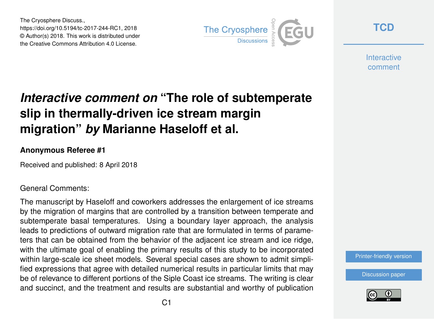The Cryosphere Discuss., https://doi.org/10.5194/tc-2017-244-RC1, 2018 © Author(s) 2018. This work is distributed under the Creative Commons Attribution 4.0 License.



**[TCD](https://www.the-cryosphere-discuss.net/)**

**Interactive** comment

# *Interactive comment on* **"The role of subtemperate slip in thermally-driven ice stream margin migration"** *by* **Marianne Haseloff et al.**

#### **Anonymous Referee #1**

Received and published: 8 April 2018

#### General Comments:

The manuscript by Haseloff and coworkers addresses the enlargement of ice streams by the migration of margins that are controlled by a transition between temperate and subtemperate basal temperatures. Using a boundary layer approach, the analysis leads to predictions of outward migration rate that are formulated in terms of parameters that can be obtained from the behavior of the adjacent ice stream and ice ridge, with the ultimate goal of enabling the primary results of this study to be incorporated within large-scale ice sheet models. Several special cases are shown to admit simplified expressions that agree with detailed numerical results in particular limits that may be of relevance to different portions of the Siple Coast ice streams. The writing is clear and succinct, and the treatment and results are substantial and worthy of publication

[Printer-friendly version](https://www.the-cryosphere-discuss.net/tc-2017-244/tc-2017-244-RC1-print.pdf)

[Discussion paper](https://www.the-cryosphere-discuss.net/tc-2017-244)

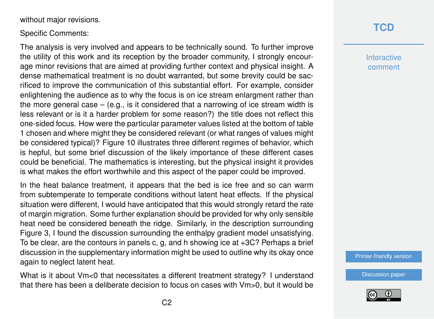without major revisions.

Specific Comments:

The analysis is very involved and appears to be technically sound. To further improve the utility of this work and its reception by the broader community, I strongly encourage minor revisions that are aimed at providing further context and physical insight. A dense mathematical treatment is no doubt warranted, but some brevity could be sacrificed to improve the communication of this substantial effort. For example, consider enlightening the audience as to why the focus is on ice stream enlargment rather than the more general case  $-$  (e.g., is it considered that a narrowing of ice stream width is less relevant or is it a harder problem for some reason?) the title does not reflect this one-sided focus. How were the particular parameter values listed at the bottom of table 1 chosen and where might they be considered relevant (or what ranges of values might be considered typical)? Figure 10 illustrates three different regimes of behavior, which is hepful, but some brief discussion of the likely importance of these different cases could be beneficial. The mathematics is interesting, but the physical insight it provides is what makes the effort worthwhile and this aspect of the paper could be improved.

In the heat balance treatment, it appears that the bed is ice free and so can warm from subtemperate to temperate conditions without latent heat effects. If the physical situation were different, I would have anticipated that this would strongly retard the rate of margin migration. Some further explanation should be provided for why only sensible heat need be considered beneath the ridge. Similarly, in the description surrounding Figure 3, I found the discussion surrounding the enthalpy gradient model unsatisfying. To be clear, are the contours in panels c, g, and h showing ice at +3C? Perhaps a brief discussion in the supplementary information might be used to outline why its okay once again to neglect latent heat.

What is it about Vm<0 that necessitates a different treatment strategy? I understand that there has been a deliberate decision to focus on cases with Vm>0, but it would be

### **[TCD](https://www.the-cryosphere-discuss.net/)**

**Interactive** comment

[Printer-friendly version](https://www.the-cryosphere-discuss.net/tc-2017-244/tc-2017-244-RC1-print.pdf)

[Discussion paper](https://www.the-cryosphere-discuss.net/tc-2017-244)